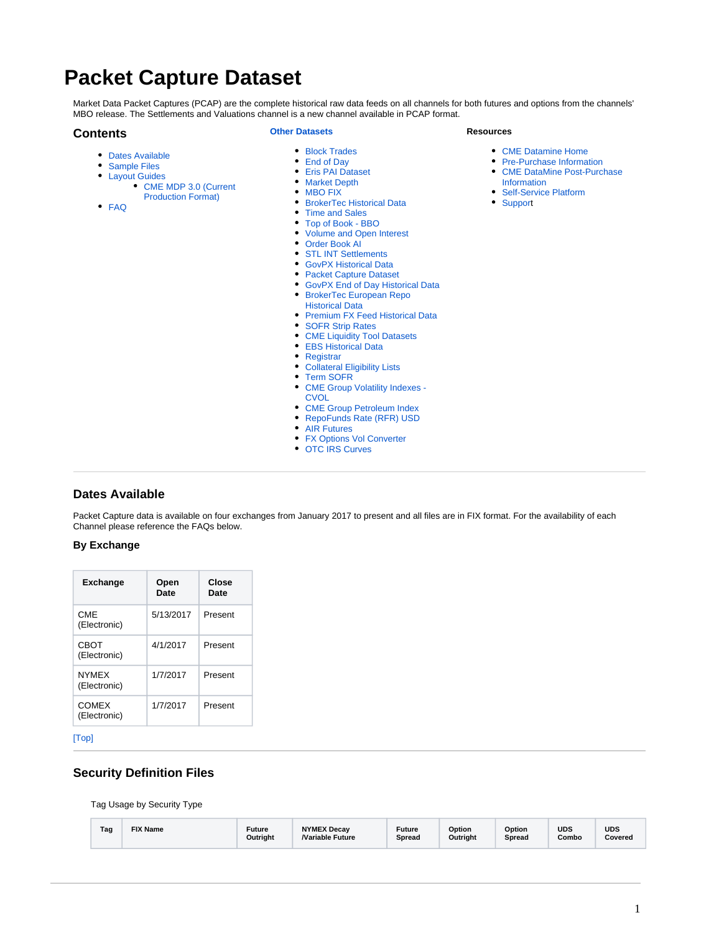# <span id="page-0-1"></span>**Packet Capture Dataset**

[CME MDP 3.0 \(Current](https://www.cmegroup.com/confluence/display/EPICSANDBOX/Market+Depth#MarketDepth-CMEMDP3.0(CurrentProductionFormat))  [Production Format\)](https://www.cmegroup.com/confluence/display/EPICSANDBOX/Market+Depth#MarketDepth-CMEMDP3.0(CurrentProductionFormat))

Market Data Packet Captures (PCAP) are the complete historical raw data feeds on all channels for both futures and options from the channels' MBO release. The Settlements and Valuations channel is a new channel available in PCAP format.

### <span id="page-0-2"></span>**Contents**

[FAQ](#page-2-2)

[Dates Available](#page-0-0) • [Sample Files](#page-2-0) • [Layout Guides](#page-2-1)

## **[Other Datasets](https://www.cmegroup.com/confluence/display/EPICSANDBOX/CME+DataMine+Datasets)**

- [Block Trades](https://www.cmegroup.com/confluence/display/EPICSANDBOX/Block+Trades)
- $\bullet$ [End of Day](https://www.cmegroup.com/confluence/display/EPICSANDBOX/End+of+Day)
- $\bullet$ [Eris PAI Dataset](https://www.cmegroup.com/confluence/display/EPICSANDBOX/Eris+PAI+Dataset)
- $\bullet$ [Market Depth](https://www.cmegroup.com/confluence/display/EPICSANDBOX/Market+Depth)
- [MBO FIX](https://www.cmegroup.com/confluence/display/EPICSANDBOX/MBO+FIX)
- [BrokerTec Historical Data](https://www.cmegroup.com/confluence/display/EPICSANDBOX/BrokerTec+Historical+Data)
- $\bullet$ [Time and Sales](https://www.cmegroup.com/confluence/display/EPICSANDBOX/Time+and+Sales)
- $\bullet$ [Top of Book - BBO](https://www.cmegroup.com/confluence/display/EPICSANDBOX/Top+of+Book+-+BBO)
- [Volume and Open Interest](https://www.cmegroup.com/confluence/display/EPICSANDBOX/Volume+and+Open+Interest)  $\bullet$
- [Order Book AI](https://www.cmegroup.com/confluence/display/EPICSANDBOX/Order+Book+AI)
- [STL INT Settlements](https://www.cmegroup.com/confluence/display/EPICSANDBOX/STL+INT+Settlements)
- [GovPX Historical Data](https://www.cmegroup.com/confluence/display/EPICSANDBOX/GovPX+Historical+Data)
- $\bullet$ [Packet Capture Dataset](#page-0-1)
- [GovPX End of Day Historical Data](https://www.cmegroup.com/confluence/display/EPICSANDBOX/GovPX+End+of+Day+Historical+Data)
- [BrokerTec European Repo](https://www.cmegroup.com/confluence/display/EPICSANDBOX/BrokerTec+European+Repo+Historical+Data)  [Historical Data](https://www.cmegroup.com/confluence/display/EPICSANDBOX/BrokerTec+European+Repo+Historical+Data)
- [Premium FX Feed Historical Data](https://www.cmegroup.com/confluence/display/EPICSANDBOX/Premium+FX+Feed+Historical+Data)
- $\bullet$ [SOFR Strip Rates](https://www.cmegroup.com/confluence/display/EPICSANDBOX/SOFR+Strip+Rates)
- [CME Liquidity Tool Datasets](https://www.cmegroup.com/confluence/display/EPICSANDBOX/CME+Liquidity+Tool+Datasets)
- [EBS Historical Data](https://www.cmegroup.com/confluence/display/EPICSANDBOX/EBS+Historical+Data)
- 
- [Registrar](https://www.cmegroup.com/confluence/display/EPICSANDBOX/Registrar)
- [Collateral Eligibility Lists](https://www.cmegroup.com/confluence/display/EPICSANDBOX/Collateral+Eligibility+Lists) [Term SOFR](https://www.cmegroup.com/confluence/display/EPICSANDBOX/Term+SOFR)
- 
- CME Group Volatility Indexes -**[CVOL](https://www.cmegroup.com/confluence/display/EPICSANDBOX/CME+Group+Volatility+Indexes+-+CVOL)**
- $\bullet$
- [CME Group Petroleum Index](https://www.cmegroup.com/confluence/display/EPICSANDBOX/CME+Group+Petroleum+Index) [RepoFunds Rate \(RFR\) USD](https://www.cmegroup.com/confluence/display/EPICSANDBOX/RepoFunds+Rate+%28RFR%29+USD)
- [AIR Futures](https://www.cmegroup.com/confluence/display/EPICSANDBOX/AIR+Futures)
- 
- [FX Options Vol Converter](https://www.cmegroup.com/confluence/display/EPICSANDBOX/FX+Options+Vol+Converter)
- [OTC IRS Curves](https://www.cmegroup.com/confluence/display/EPICSANDBOX/OTC+IRS+Curves)

### <span id="page-0-0"></span>**Dates Available**

Packet Capture data is available on four exchanges from January 2017 to present and all files are in FIX format. For the availability of each Channel please reference the FAQs below.

### **By Exchange**

| <b>Exchange</b>              | Open<br>Date | Close<br>Date |
|------------------------------|--------------|---------------|
| CMF<br>(Electronic)          | 5/13/2017    | Present       |
| CBOT<br>(Electronic)         | 4/1/2017     | Present       |
| <b>NYMFX</b><br>(Electronic) | 1/7/2017     | Present       |
| COMEX<br>(Electronic)        | 1/7/2017     | Present       |

[\[Top\]](#page-0-2)

### **Security Definition Files**

Tag Usage by Security Type

| Tag | <b>FIX Name</b> | Future<br>Outriaht | <b>NYMEX Decav</b><br><b>Nariable Future</b> | <b>Future</b><br>Spread | Option<br>Outright | Option<br>Spread | <b>UDS</b><br>Combo | <b>UDS</b><br>Covered |
|-----|-----------------|--------------------|----------------------------------------------|-------------------------|--------------------|------------------|---------------------|-----------------------|
|-----|-----------------|--------------------|----------------------------------------------|-------------------------|--------------------|------------------|---------------------|-----------------------|

**Resources**

- [CME Datamine Home](https://www.cmegroup.com/confluence/display/EPICSANDBOX/CME+DataMine)
- [Pre-Purchase Information](https://wiki.chicago.cme.com/confluence/display/CLIMP/Pre-Purchase+Information)
- [CME DataMine Post-Purchase](https://www.cmegroup.com/confluence/display/EPICSANDBOX/CME+DataMine+Post-Purchase+Information)  [Information](https://www.cmegroup.com/confluence/display/EPICSANDBOX/CME+DataMine+Post-Purchase+Information)
- [Self-Service Platform](https://wiki.chicago.cme.com/confluence/display/CLIMP/Self-Service+Platform)
- [Support](https://www.cmegroup.com/confluence/display/EPICSANDBOX/CME+DataMine+Support)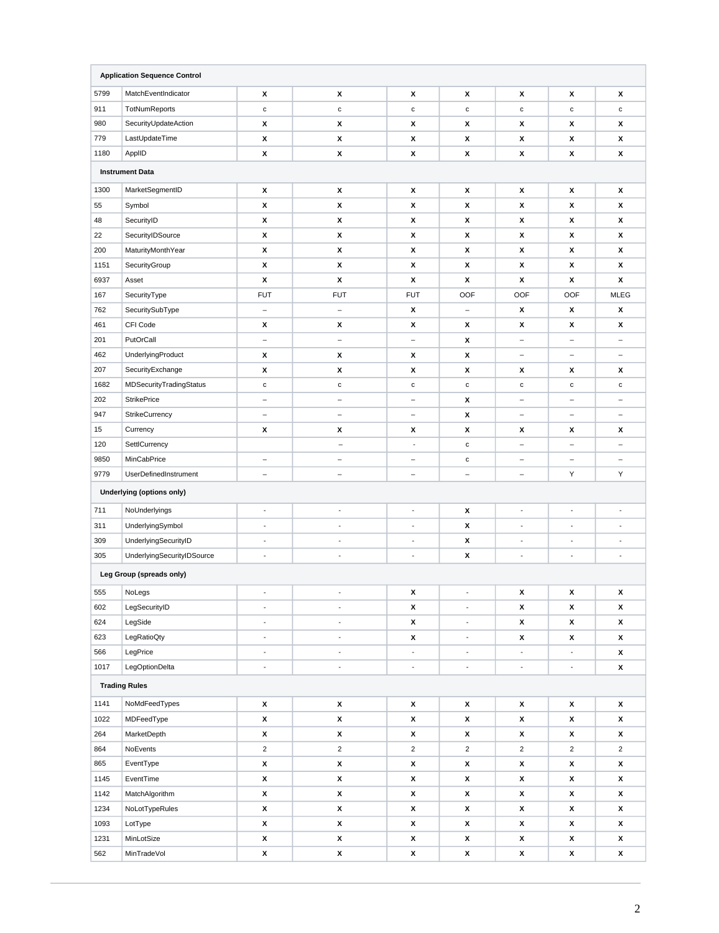|                          | <b>Application Sequence Control</b> |                          |                          |                          |                          |                          |                          |                          |
|--------------------------|-------------------------------------|--------------------------|--------------------------|--------------------------|--------------------------|--------------------------|--------------------------|--------------------------|
| 5799                     | MatchEventIndicator                 | х                        | х                        | х                        | x                        | x                        | х                        | х                        |
| 911                      | TotNumReports                       | $\mathbf{C}$             | $\mathbf c$              | с                        | $\mathbf c$              | с                        | с                        | с                        |
| 980                      | SecurityUpdateAction                | x                        | х                        | x                        | x                        | x                        | х                        | х                        |
| 779                      | LastUpdateTime                      | x                        | х                        | x                        | x                        | x                        | X                        | х                        |
| 1180                     | ApplID                              | X                        | X                        | x                        | x                        | x                        | х                        | X                        |
|                          | <b>Instrument Data</b>              |                          |                          |                          |                          |                          |                          |                          |
| 1300                     | MarketSegmentID                     | X                        | х                        | x                        | x                        | x                        | x                        | х                        |
| 55                       | Symbol                              | X                        | X                        | x                        | x                        | x                        | X                        | х                        |
| 48                       | SecurityID                          | X                        | х                        | x                        | x                        | x                        | х                        | X                        |
| 22                       | SecurityIDSource                    | x                        | х                        | x                        | x                        | x                        | х                        | х                        |
| 200                      | MaturityMonthYear                   | X                        | X                        | X                        | x                        | x                        | х                        | X                        |
| 1151                     | SecurityGroup                       | x                        | X                        | x                        | x                        | x                        | х                        | х                        |
| 6937                     | Asset                               | x                        | X                        | X                        | x                        | x                        | X                        | X                        |
| 167                      | SecurityType                        | <b>FUT</b>               | <b>FUT</b>               | <b>FUT</b>               | OOF                      | OOF                      | <b>OOF</b>               | <b>MLEG</b>              |
| 762                      | SecuritySubType                     | $\qquad \qquad -$        | $\qquad \qquad -$        | x                        | $\qquad \qquad -$        | x                        | X                        | X                        |
| 461                      | CFI Code                            | x                        | х                        | X                        | x                        | x                        | х                        | X                        |
| 201                      | PutOrCall                           | $\overline{\phantom{0}}$ | $\overline{\phantom{0}}$ | $\overline{\phantom{0}}$ | x                        | $\overline{\phantom{0}}$ | $\overline{\phantom{m}}$ | $\equiv$                 |
| 462                      | UnderlyingProduct                   | x                        | х                        | x                        | x                        | -                        | $\qquad \qquad -$        | $\qquad \qquad -$        |
| 207                      | SecurityExchange                    | X                        | X                        | x                        | x                        | x                        | х                        | X                        |
| 1682                     | MDSecurityTradingStatus             | c                        | $\mathbf c$              | с                        | $\mathbf{C}$             | c                        | $\mathbf c$              | с                        |
| 202                      | <b>StrikePrice</b>                  | $\overline{\phantom{m}}$ | $\overline{\phantom{0}}$ | $\overline{\phantom{m}}$ | x                        | $\overline{\phantom{0}}$ | $\overline{a}$           | $\overline{\phantom{0}}$ |
| 947                      | StrikeCurrency                      | $\overline{\phantom{0}}$ | $\qquad \qquad -$        | $\overline{\phantom{a}}$ | x                        | $\overline{\phantom{0}}$ | $\overline{\phantom{a}}$ | ÷,                       |
| 15                       | Currency                            | x                        | х                        | х                        | x                        | x                        | х                        | х                        |
| 120                      | SettlCurrency                       |                          | $\qquad \qquad -$        | $\overline{\phantom{a}}$ | $\mathbf c$              | -                        | $\qquad \qquad -$        | $\overline{\phantom{0}}$ |
| 9850                     | MinCabPrice                         | $\overline{\phantom{a}}$ | $\overline{\phantom{a}}$ | $\overline{\phantom{a}}$ | $\mathtt{C}$             | $\qquad \qquad -$        | $\overline{\phantom{a}}$ | $\qquad \qquad -$        |
| 9779                     | UserDefinedInstrument               | $\overline{\phantom{a}}$ | $\qquad \qquad -$        | $\overline{\phantom{a}}$ | $\overline{\phantom{m}}$ | $\qquad \qquad -$        | Υ                        | Υ                        |
|                          | <b>Underlying (options only)</b>    |                          |                          |                          |                          |                          |                          |                          |
| 711                      | NoUnderlyings                       | ÷,                       | ÷                        | ÷,                       | x                        | $\overline{\phantom{a}}$ | $\overline{\phantom{a}}$ | $\overline{\phantom{a}}$ |
| 311                      | UnderlyingSymbol                    | $\blacksquare$           | ÷,                       | ÷,                       | x                        | $\blacksquare$           | $\blacksquare$           | $\overline{\phantom{a}}$ |
| 309                      | UnderlyingSecurityID                | $\overline{\phantom{a}}$ | $\frac{1}{2}$            | $\overline{\phantom{a}}$ | x                        | $\blacksquare$           | $\overline{\phantom{m}}$ | $\overline{\phantom{a}}$ |
| 305                      | UnderlyingSecurityIDSource          | $\overline{a}$           | ÷,                       | ÷,                       | x                        | $\blacksquare$           | $\overline{\phantom{a}}$ | $\overline{\phantom{a}}$ |
| Leg Group (spreads only) |                                     |                          |                          |                          |                          |                          |                          |                          |
| 555                      | NoLegs                              |                          |                          | x                        |                          | x                        | x                        | х                        |
| 602                      | LegSecurityID                       | $\overline{\phantom{a}}$ | $\overline{\phantom{a}}$ | x                        | ÷.                       | x                        | х                        | X                        |
| 624                      | LegSide                             | $\overline{\phantom{a}}$ | $\overline{\phantom{a}}$ | X                        | $\overline{\phantom{a}}$ | x                        | x                        | X                        |
| 623                      | LegRatioQty                         | $\Box$                   | $\overline{\phantom{a}}$ | X                        | $\overline{\phantom{a}}$ | x                        | X                        | $\pmb{\mathsf{x}}$       |
| 566                      | LegPrice                            | $\blacksquare$           | $\overline{\phantom{a}}$ | $\overline{\phantom{a}}$ | $\overline{\phantom{a}}$ | $\overline{\phantom{a}}$ | $\overline{\phantom{a}}$ | X                        |
| 1017                     | LegOptionDelta                      | $\Box$                   | $\overline{\phantom{a}}$ | $\blacksquare$           | $\blacksquare$           | $\overline{\phantom{a}}$ | $\overline{\phantom{a}}$ | X                        |
|                          | <b>Trading Rules</b>                |                          |                          |                          |                          |                          |                          |                          |
| 1141                     | NoMdFeedTypes                       | x                        | X                        | X                        | x                        | x                        | X                        | X                        |
| 1022                     | MDFeedType                          | x                        | X                        | x                        | x                        | x                        | X                        | X                        |
| 264                      | MarketDepth                         | x                        | x                        | x                        | x                        | x                        | X                        | X                        |
| 864                      | NoEvents                            | $\overline{2}$           | $\overline{c}$           | $\overline{c}$           | $\overline{2}$           | $\overline{c}$           | $\overline{2}$           | $\overline{c}$           |
| 865                      | EventType                           | x                        | x                        | x                        | x                        | x                        | x                        | $\pmb{\mathsf{x}}$       |
| 1145                     | EventTime                           | x                        | $\pmb{\mathsf{x}}$       | X                        | x                        | x                        | X                        | X                        |
| 1142                     | MatchAlgorithm                      | x                        | x                        | x                        | x                        | x                        | x                        | X                        |
| 1234                     | NoLotTypeRules                      | x                        | x                        | x                        | x                        | x                        | x                        | x                        |
| 1093                     | LotType                             | x                        | X                        | $\pmb{\mathsf{x}}$       | x                        | x                        | X                        | X                        |
| 1231                     | MinLotSize                          | x                        | $\pmb{\mathsf{x}}$       | x                        | x                        | x                        | X                        | x                        |
| 562                      | MinTradeVol                         | x                        | X                        | $\pmb{\mathsf{x}}$       | x                        | $\pmb{\mathsf{x}}$       | X                        | $\pmb{\mathsf{x}}$       |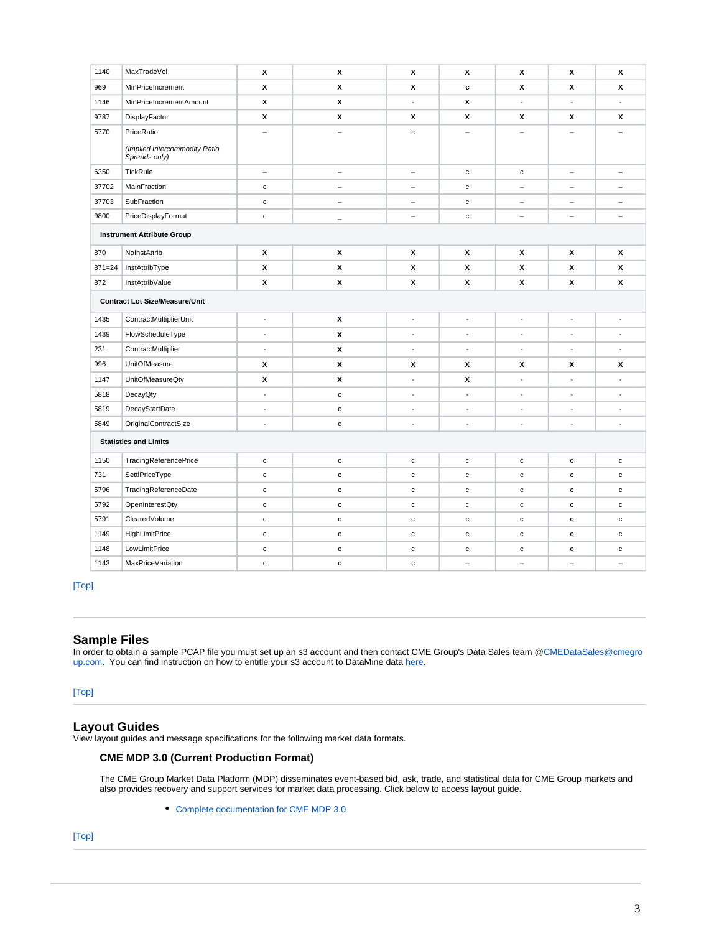| 1140                              | MaxTradeVol                                    | X                        | X                        | X                        | x                        | x                        | X                        | X                        |
|-----------------------------------|------------------------------------------------|--------------------------|--------------------------|--------------------------|--------------------------|--------------------------|--------------------------|--------------------------|
| 969                               | MinPriceIncrement                              | X                        | x                        | X                        | $\mathbf c$              | x                        | x                        | X                        |
| 1146                              | MinPriceIncrementAmount                        | X                        | X                        | ÷,                       | х                        | $\overline{a}$           | ÷,                       | $\overline{a}$           |
| 9787                              | DisplayFactor                                  | X                        | х                        | X                        | х                        | х                        | X                        | X                        |
| 5770                              | PriceRatio                                     | L,                       | $\overline{\phantom{0}}$ | $\mathbf c$              |                          |                          |                          |                          |
|                                   | (Implied Intercommodity Ratio<br>Spreads only) |                          |                          |                          |                          |                          |                          |                          |
| 6350                              | TickRule                                       | $\equiv$                 | $\qquad \qquad -$        | $\equiv$                 | $\mathbf c$              | $\mathtt{c}$             | $\overline{\phantom{a}}$ | $\qquad \qquad -$        |
| 37702                             | MainFraction                                   | $\mathbf c$              | $\overline{\phantom{0}}$ | $\equiv$                 | $\mathbf c$              | $\equiv$                 | $\equiv$                 | $\overline{\phantom{0}}$ |
| 37703                             | SubFraction                                    | $\mathbf c$              | $\overline{\phantom{m}}$ | $\overline{\phantom{0}}$ | $\mathbf c$              | $\overline{\phantom{0}}$ | $\overline{\phantom{0}}$ | $\overline{\phantom{0}}$ |
| 9800                              | PriceDisplayFormat                             | $\mathbf c$              | ÷                        | $\qquad \qquad -$        | $\mathbf c$              | $\qquad \qquad -$        | -                        | $\equiv$                 |
| <b>Instrument Attribute Group</b> |                                                |                          |                          |                          |                          |                          |                          |                          |
| 870                               | NoInstAttrib                                   | X                        | X                        | X                        | x                        | x                        | X                        | X                        |
| $871 = 24$                        | InstAttribType                                 | X                        | X                        | X                        | х                        | х                        | x                        | X                        |
| 872                               | InstAttribValue                                | x                        | x                        | x                        | x                        | x                        | x                        | x                        |
|                                   | <b>Contract Lot Size/Measure/Unit</b>          |                          |                          |                          |                          |                          |                          |                          |
| 1435                              | ContractMultiplierUnit                         | $\blacksquare$           | x                        | ÷,                       | $\blacksquare$           | $\blacksquare$           | ÷,                       | ÷,                       |
| 1439                              | FlowScheduleType                               | $\overline{\phantom{a}}$ | x                        | $\overline{\phantom{a}}$ | $\overline{\phantom{a}}$ | $\overline{\phantom{a}}$ | $\overline{\phantom{a}}$ | $\overline{\phantom{a}}$ |
| 231                               | ContractMultiplier                             | $\blacksquare$           | X                        | $\overline{a}$           | $\blacksquare$           | $\blacksquare$           | $\overline{\phantom{a}}$ | $\overline{a}$           |
| 996                               | UnitOfMeasure                                  | x                        | x                        | x                        | х                        | х                        | x                        | х                        |
| 1147                              | <b>UnitOfMeasureQty</b>                        | X                        | X                        | $\overline{a}$           | х                        | $\overline{a}$           | ÷,                       | $\overline{a}$           |
| 5818                              | DecayQty                                       | ÷,                       | $\mathbf c$              | ÷,                       | ÷                        | $\overline{\phantom{a}}$ | ÷,                       |                          |
| 5819                              | DecayStartDate                                 | $\overline{\phantom{a}}$ | $\mathbf c$              | $\frac{1}{2}$            | $\overline{\phantom{a}}$ | ÷,                       | $\frac{1}{2}$            | ÷,                       |
| 5849                              | <b>OriginalContractSize</b>                    | $\overline{a}$           | $\mathbf c$              | ÷,                       | $\overline{\phantom{a}}$ | $\overline{a}$           | $\overline{\phantom{a}}$ | $\overline{a}$           |
|                                   | <b>Statistics and Limits</b>                   |                          |                          |                          |                          |                          |                          |                          |
| 1150                              | <b>TradingReferencePrice</b>                   | $\mathbf c$              | $\mathbf c$              | $\mathbf c$              | $\mathbf c$              | $\mathtt{c}$             | $\mathbf c$              | $\mathbf c$              |
| 731                               | SettlPriceType                                 | $\mathbf c$              | $\mathtt{c}$             | $\mathbf c$              | $\mathbf c$              | c                        | c                        | $\mathbf c$              |
| 5796                              | TradingReferenceDate                           | $\mathbf c$              | $\mathtt{C}$             | $\mathbf c$              | $\mathbf c$              | c                        | $\mathbf c$              | $\mathbf c$              |
| 5792                              | OpenInterestQty                                | $\mathbf c$              | $\mathtt{c}$             | $\mathbf c$              | $\mathbf c$              | c                        | $\mathbf c$              | $\mathbf c$              |
| 5791                              | ClearedVolume                                  | $\mathbf c$              | $\mathbf c$              | $\mathbf c$              | $\mathbf c$              | с                        | $\mathbf c$              | $\mathbf c$              |
| 1149                              | <b>HighLimitPrice</b>                          | $\mathbf c$              | $\mathtt{C}$             | $\mathbf c$              | $\mathbf c$              | $\mathtt{c}$             | c                        | $\mathtt{c}$             |
| 1148                              | LowLimitPrice                                  | $\mathbf c$              | $\mathbf c$              | $\mathbf c$              | $\mathbf c$              | $\mathbf c$              | $\mathbf c$              | $\mathbf c$              |
| 1143                              | <b>MaxPriceVariation</b>                       | c                        | $\mathbf c$              | $\mathbf c$              |                          |                          |                          |                          |

### [\[Top\]](#page-0-2)

### <span id="page-2-0"></span>**Sample Files**

In order to obtain a sample PCAP file you must set up an s3 account and then contact CME Group's Data Sales team @[CMEDataSales@cmegro](mailto:CMEDataSales@cmegrop.com.) [up.com.](mailto:CMEDataSales@cmegrop.com.) You can find instruction on how to entitle your s3 account to DataMine data [here.](https://www.cmegroup.com/market-data/automatic-s3-transfer.html)

### [\[Top\]](#page-0-2)

### <span id="page-2-1"></span>**Layout Guides**

View layout guides and message specifications for the following market data formats.

### **CME MDP 3.0 (Current Production Format)**

The CME Group Market Data Platform (MDP) disseminates event-based bid, ask, trade, and statistical data for CME Group markets and also provides recovery and support services for market data processing. Click below to access layout guide.

[Complete documentation for CME MDP 3.0](http://www.cmegroup.com/confluence/display/EPICSANDBOX/CME+MDP+3.0+Market+Data)

### <span id="page-2-2"></span>[\[Top\]](#page-0-2)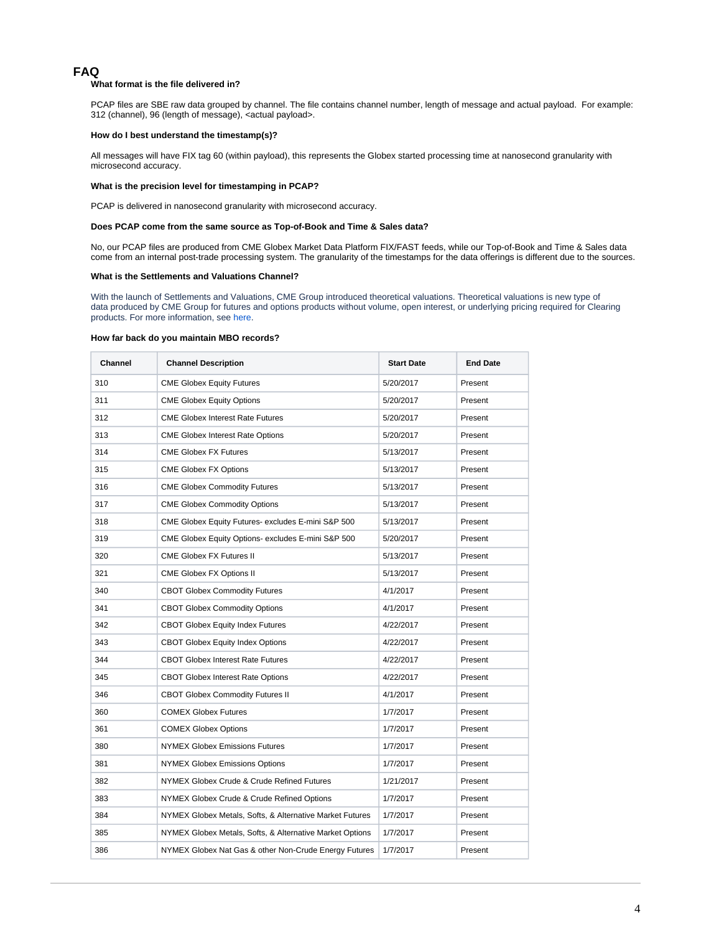### **FAQ**

#### **What format is the file delivered in?**

PCAP files are SBE raw data grouped by channel. The file contains channel number, length of message and actual payload. For example: 312 (channel), 96 (length of message), <actual payload>.

#### **How do I best understand the timestamp(s)?**

All messages will have FIX tag 60 (within payload), this represents the Globex started processing time at nanosecond granularity with microsecond accuracy.

### **What is the precision level for timestamping in PCAP?**

PCAP is delivered in nanosecond granularity with microsecond accuracy.

#### **Does PCAP come from the same source as Top-of-Book and Time & Sales data?**

No, our PCAP files are produced from CME Globex Market Data Platform FIX/FAST feeds, while our Top-of-Book and Time & Sales data come from an internal post-trade processing system. The granularity of the timestamps for the data offerings is different due to the sources.

#### **What is the Settlements and Valuations Channel?**

With the launch of Settlements and Valuations, CME Group introduced theoretical valuations. Theoretical valuations is new type of data produced by CME Group for futures and options products without volume, open interest, or underlying pricing required for Clearing products. For more information, see [here.](https://www.cmegroup.com/confluence/display/EPICSANDBOX/Data+Insights+-+Settlements+and+Valuations#:~:text=With%20the%20launch%20of%20Settlements,pricing%20required%20for%20Clearing%20products.)

#### **How far back do you maintain MBO records?**

| Channel | <b>Channel Description</b>                               | <b>Start Date</b> | <b>End Date</b> |
|---------|----------------------------------------------------------|-------------------|-----------------|
| 310     | <b>CME Globex Equity Futures</b>                         | 5/20/2017         | Present         |
| 311     | <b>CME Globex Equity Options</b>                         | 5/20/2017         | Present         |
| 312     | <b>CME Globex Interest Rate Futures</b>                  | 5/20/2017         | Present         |
| 313     | <b>CME Globex Interest Rate Options</b>                  | 5/20/2017         | Present         |
| 314     | <b>CME Globex FX Futures</b>                             | 5/13/2017         | Present         |
| 315     | <b>CME Globex FX Options</b>                             | 5/13/2017         | Present         |
| 316     | <b>CME Globex Commodity Futures</b>                      | 5/13/2017         | Present         |
| 317     | <b>CME Globex Commodity Options</b>                      | 5/13/2017         | Present         |
| 318     | CME Globex Equity Futures-excludes E-mini S&P 500        | 5/13/2017         | Present         |
| 319     | CME Globex Equity Options-excludes E-mini S&P 500        | 5/20/2017         | Present         |
| 320     | <b>CME Globex FX Futures II</b>                          | 5/13/2017         | Present         |
| 321     | <b>CME Globex FX Options II</b>                          | 5/13/2017         | Present         |
| 340     | <b>CBOT Globex Commodity Futures</b>                     | 4/1/2017          | Present         |
| 341     | <b>CBOT Globex Commodity Options</b>                     | 4/1/2017          | Present         |
| 342     | <b>CBOT Globex Equity Index Futures</b>                  | 4/22/2017         | Present         |
| 343     | <b>CBOT Globex Equity Index Options</b>                  | 4/22/2017         | Present         |
| 344     | <b>CBOT Globex Interest Rate Futures</b>                 | 4/22/2017         | Present         |
| 345     | <b>CBOT Globex Interest Rate Options</b>                 | 4/22/2017         | Present         |
| 346     | <b>CBOT Globex Commodity Futures II</b>                  | 4/1/2017          | Present         |
| 360     | <b>COMEX Globex Futures</b>                              | 1/7/2017          | Present         |
| 361     | <b>COMEX Globex Options</b>                              | 1/7/2017          | Present         |
| 380     | <b>NYMEX Globex Emissions Futures</b>                    | 1/7/2017          | Present         |
| 381     | <b>NYMEX Globex Emissions Options</b>                    | 1/7/2017          | Present         |
| 382     | NYMEX Globex Crude & Crude Refined Futures               | 1/21/2017         | Present         |
| 383     | NYMEX Globex Crude & Crude Refined Options               | 1/7/2017          | Present         |
| 384     | NYMEX Globex Metals, Softs, & Alternative Market Futures | 1/7/2017          | Present         |
| 385     | NYMEX Globex Metals, Softs, & Alternative Market Options | 1/7/2017          | Present         |
| 386     | NYMEX Globex Nat Gas & other Non-Crude Energy Futures    | 1/7/2017          | Present         |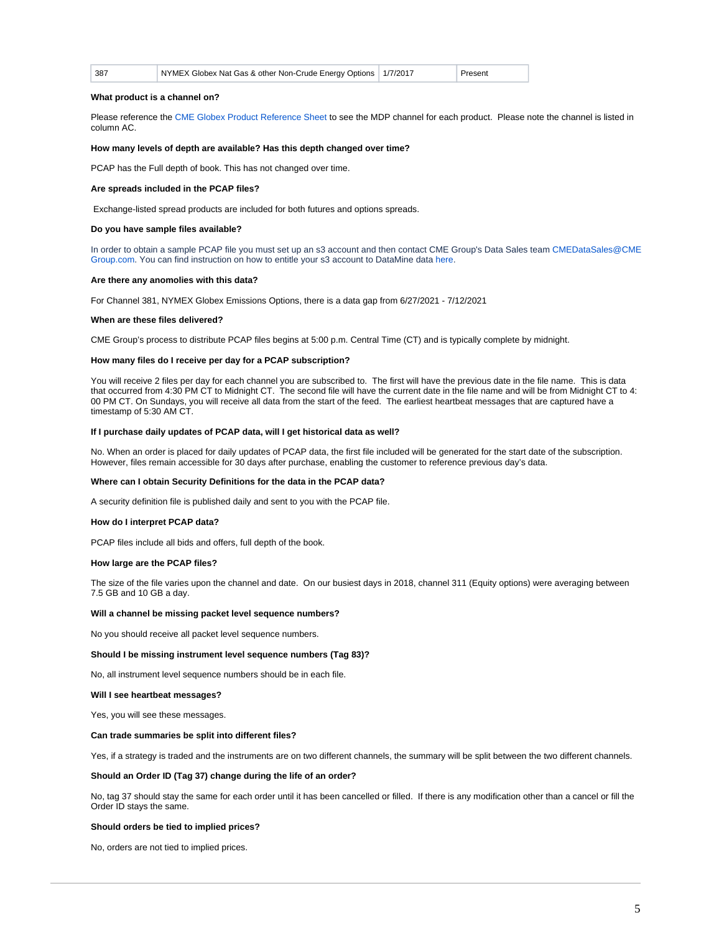| 387 | NYMEX Globex Nat Gas & other Non-Crude Energy Options   1/7/2017 |  | Present |  |
|-----|------------------------------------------------------------------|--|---------|--|
|-----|------------------------------------------------------------------|--|---------|--|

#### **What product is a channel on?**

Please reference the [CME Globex Product Reference Sheet](https://www.cmegroup.com/globex/files/globex-product-reference-sheet.xls) to see the MDP channel for each product. Please note the channel is listed in column AC.

#### **How many levels of depth are available? Has this depth changed over time?**

PCAP has the Full depth of book. This has not changed over time.

#### **Are spreads included in the PCAP files?**

Exchange-listed spread products are included for both futures and options spreads.

#### **Do you have sample files available?**

In order to obtain a sample PCAP file you must set up an s3 account and then contact CME Group's Data Sales team [CMEDataSales@CME](mailto:CMEdatasales@cmegroup.com) [Group.com](mailto:CMEdatasales@cmegroup.com). You can find instruction on how to entitle your s3 account to DataMine data [here](https://www.cmegroup.com/market-data/automatic-s3-transfer.html).

#### **Are there any anomolies with this data?**

For Channel 381, NYMEX Globex Emissions Options, there is a data gap from 6/27/2021 - 7/12/2021

#### **When are these files delivered?**

CME Group's process to distribute PCAP files begins at 5:00 p.m. Central Time (CT) and is typically complete by midnight.

#### **How many files do I receive per day for a PCAP subscription?**

You will receive 2 files per day for each channel you are subscribed to. The first will have the previous date in the file name. This is data that occurred from 4:30 PM CT to Midnight CT. The second file will have the current date in the file name and will be from Midnight CT to 4: 00 PM CT. On Sundays, you will receive all data from the start of the feed. The earliest heartbeat messages that are captured have a timestamp of 5:30 AM CT.

#### **If I purchase daily updates of PCAP data, will I get historical data as well?**

No. When an order is placed for daily updates of PCAP data, the first file included will be generated for the start date of the subscription. However, files remain accessible for 30 days after purchase, enabling the customer to reference previous day's data.

#### **Where can I obtain Security Definitions for the data in the PCAP data?**

A security definition file is published daily and sent to you with the PCAP file.

#### **How do I interpret PCAP data?**

PCAP files include all bids and offers, full depth of the book.

#### **How large are the PCAP files?**

The size of the file varies upon the channel and date. On our busiest days in 2018, channel 311 (Equity options) were averaging between 7.5 GB and 10 GB a day.

#### **Will a channel be missing packet level sequence numbers?**

No you should receive all packet level sequence numbers.

#### **Should I be missing instrument level sequence numbers (Tag 83)?**

No, all instrument level sequence numbers should be in each file.

#### **Will I see heartbeat messages?**

Yes, you will see these messages.

#### **Can trade summaries be split into different files?**

Yes, if a strategy is traded and the instruments are on two different channels, the summary will be split between the two different channels.

#### **Should an Order ID (Tag 37) change during the life of an order?**

No, tag 37 should stay the same for each order until it has been cancelled or filled. If there is any modification other than a cancel or fill the Order ID stays the same.

#### **Should orders be tied to implied prices?**

No, orders are not tied to implied prices.